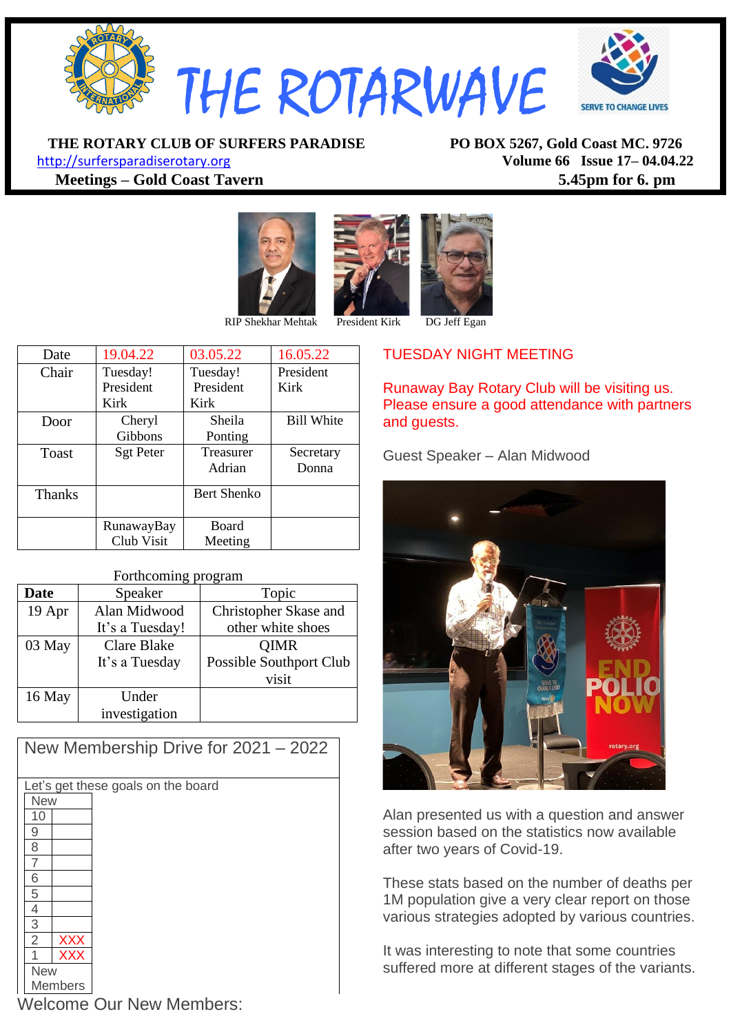

**THE ROTARY CLUB OF SURFERS PARADISE PO BOX 5267, Gold Coast MC. 9726**

[http://surfersparadiserotary.org](http://surfersparadiserotary.org/) **Volume 66 Issue 17– 04.04.22 Meetings – Gold Coast Tavern 5.45pm for 6. pm**





| Date          | 19.04.22         | 03.05.22           | 16.05.22          |
|---------------|------------------|--------------------|-------------------|
| Chair         | Tuesday!         | Tuesday!           | President         |
|               | President        | President          | Kirk              |
|               | Kirk             | Kirk               |                   |
| Door          | Cheryl           | Sheila             | <b>Bill White</b> |
|               | Gibbons          | Ponting            |                   |
| Toast         | <b>Sgt Peter</b> | Treasurer          | Secretary         |
|               |                  | Adrian             | Donna             |
| <b>Thanks</b> |                  | <b>Bert Shenko</b> |                   |
|               |                  |                    |                   |
|               | RunawayBay       | <b>Board</b>       |                   |
|               | Club Visit       | Meeting            |                   |

| <b>Date</b> | Speaker            | Topic                   |  |
|-------------|--------------------|-------------------------|--|
| 19 Apr      | Alan Midwood       | Christopher Skase and   |  |
|             | It's a Tuesday!    | other white shoes       |  |
| 03 May      | <b>Clare Blake</b> | <b>OIMR</b>             |  |
|             | It's a Tuesday     | Possible Southport Club |  |
|             |                    | visit                   |  |
| 16 May      | Under              |                         |  |
|             | investigation      |                         |  |

| New Membership Drive for 2021 - 2022 |  |  |  |  |
|--------------------------------------|--|--|--|--|
|                                      |  |  |  |  |
| Let's get these goals on the board   |  |  |  |  |
| <b>New</b>                           |  |  |  |  |
| 10                                   |  |  |  |  |
| 9                                    |  |  |  |  |
| 8                                    |  |  |  |  |
| 7                                    |  |  |  |  |
| 6                                    |  |  |  |  |
| 5                                    |  |  |  |  |
| 4                                    |  |  |  |  |
| 3                                    |  |  |  |  |
| $\overline{2}$<br><b>XXX</b>         |  |  |  |  |
| <b>XXX</b>                           |  |  |  |  |
| <b>New</b>                           |  |  |  |  |
| Members                              |  |  |  |  |

TUESDAY NIGHT MEETING

Runaway Bay Rotary Club will be visiting us. Please ensure a good attendance with partners and guests.

Guest Speaker – Alan Midwood



Alan presented us with a question and answer session based on the statistics now available after two years of Covid-19.

These stats based on the number of deaths per 1M population give a very clear report on those various strategies adopted by various countries.

It was interesting to note that some countries suffered more at different stages of the variants.

Welcome Our New Members:

#### Forthcoming program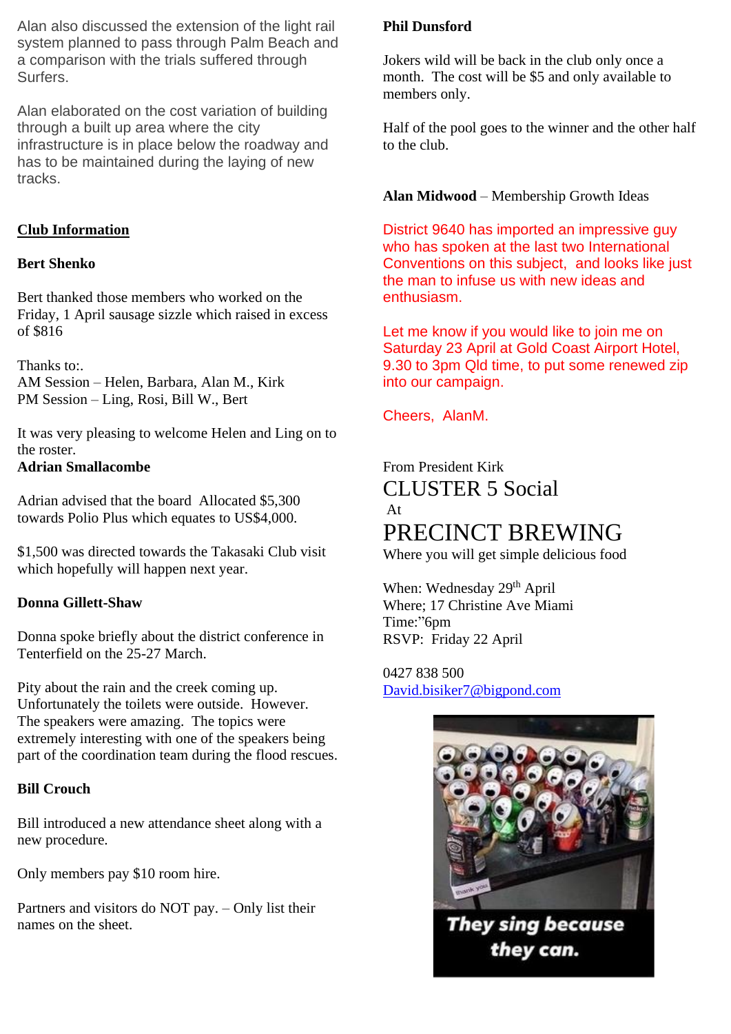Alan also discussed the extension of the light rail system planned to pass through Palm Beach and a comparison with the trials suffered through Surfers.

Alan elaborated on the cost variation of building through a built up area where the city infrastructure is in place below the roadway and has to be maintained during the laying of new tracks.

## **Club Information**

#### **Bert Shenko**

Bert thanked those members who worked on the Friday, 1 April sausage sizzle which raised in excess of \$816

Thanks to:. AM Session – Helen, Barbara, Alan M., Kirk PM Session – Ling, Rosi, Bill W., Bert

It was very pleasing to welcome Helen and Ling on to the roster. **Adrian Smallacombe**

Adrian advised that the board Allocated \$5,300 towards Polio Plus which equates to US\$4,000.

\$1,500 was directed towards the Takasaki Club visit which hopefully will happen next year.

### **Donna Gillett-Shaw**

Donna spoke briefly about the district conference in Tenterfield on the 25-27 March.

Pity about the rain and the creek coming up. Unfortunately the toilets were outside. However. The speakers were amazing. The topics were extremely interesting with one of the speakers being part of the coordination team during the flood rescues.

### **Bill Crouch**

Bill introduced a new attendance sheet along with a new procedure.

Only members pay \$10 room hire.

Partners and visitors do NOT pay. – Only list their names on the sheet.

# **Phil Dunsford**

Jokers wild will be back in the club only once a month. The cost will be \$5 and only available to members only.

Half of the pool goes to the winner and the other half to the club.

# **Alan Midwood** – Membership Growth Ideas

District 9640 has imported an impressive guy who has spoken at the last two International Conventions on this subject, and looks like just the man to infuse us with new ideas and enthusiasm.

Let me know if you would like to join me on Saturday 23 April at Gold Coast Airport Hotel, 9.30 to 3pm Qld time, to put some renewed zip into our campaign.

Cheers, AlanM.

# From President Kirk CLUSTER 5 Social At PRECINCT BREWING

Where you will get simple delicious food

When: Wednesday 29<sup>th</sup> April Where; 17 Christine Ave Miami Time:"6pm RSVP: Friday 22 April

0427 838 500 [David.bisiker7@bigpond.com](mailto:David.bisiker7@bigpond.com)



**They sing because** they can.